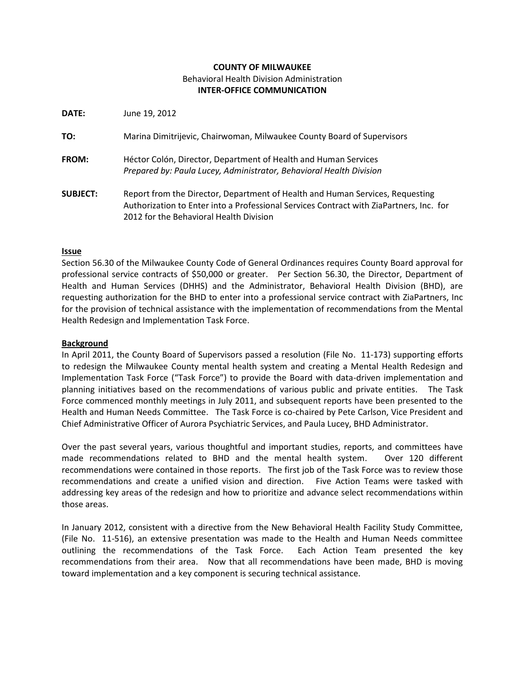# **COUNTY OF MILWAUKEE**  Behavioral Health Division Administration **INTER-OFFICE COMMUNICATION**

**DATE:** June 19, 2012

| TO: | Marina Dimitrijevic, Chairwoman, Milwaukee County Board of Supervisors |  |  |  |  |  |
|-----|------------------------------------------------------------------------|--|--|--|--|--|
|-----|------------------------------------------------------------------------|--|--|--|--|--|

- **FROM:** Héctor Colón, Director, Department of Health and Human Services *Prepared by: Paula Lucey, Administrator, Behavioral Health Division*
- **SUBJECT:** Report from the Director, Department of Health and Human Services, Requesting Authorization to Enter into a Professional Services Contract with ZiaPartners, Inc. for 2012 for the Behavioral Health Division

#### **Issue**

Section 56.30 of the Milwaukee County Code of General Ordinances requires County Board approval for professional service contracts of \$50,000 or greater. Per Section 56.30, the Director, Department of Health and Human Services (DHHS) and the Administrator, Behavioral Health Division (BHD), are requesting authorization for the BHD to enter into a professional service contract with ZiaPartners, Inc for the provision of technical assistance with the implementation of recommendations from the Mental Health Redesign and Implementation Task Force.

#### **Background**

In April 2011, the County Board of Supervisors passed a resolution (File No. 11-173) supporting efforts to redesign the Milwaukee County mental health system and creating a Mental Health Redesign and Implementation Task Force ("Task Force") to provide the Board with data-driven implementation and planning initiatives based on the recommendations of various public and private entities. The Task Force commenced monthly meetings in July 2011, and subsequent reports have been presented to the Health and Human Needs Committee. The Task Force is co-chaired by Pete Carlson, Vice President and Chief Administrative Officer of Aurora Psychiatric Services, and Paula Lucey, BHD Administrator.

Over the past several years, various thoughtful and important studies, reports, and committees have made recommendations related to BHD and the mental health system. Over 120 different recommendations were contained in those reports. The first job of the Task Force was to review those recommendations and create a unified vision and direction. Five Action Teams were tasked with addressing key areas of the redesign and how to prioritize and advance select recommendations within those areas.

In January 2012, consistent with a directive from the New Behavioral Health Facility Study Committee, (File No. 11-516), an extensive presentation was made to the Health and Human Needs committee outlining the recommendations of the Task Force. Each Action Team presented the key recommendations from their area. Now that all recommendations have been made, BHD is moving toward implementation and a key component is securing technical assistance.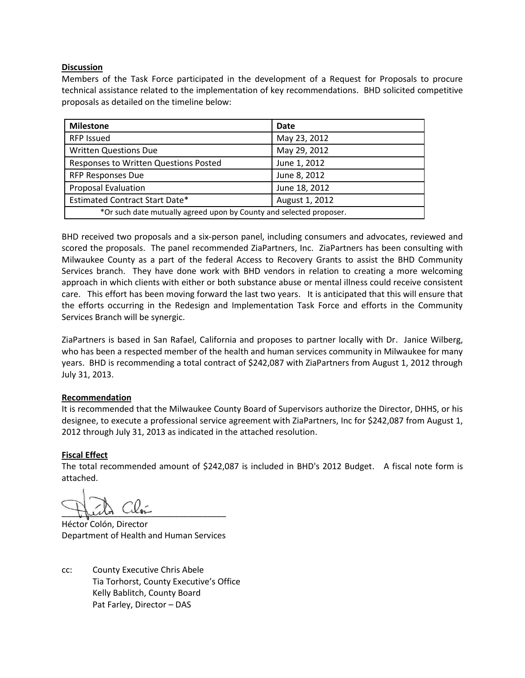## **Discussion**

Members of the Task Force participated in the development of a Request for Proposals to procure technical assistance related to the implementation of key recommendations. BHD solicited competitive proposals as detailed on the timeline below:

| <b>Milestone</b>                                                    | Date           |  |  |  |
|---------------------------------------------------------------------|----------------|--|--|--|
| <b>RFP Issued</b>                                                   | May 23, 2012   |  |  |  |
| <b>Written Questions Due</b>                                        | May 29, 2012   |  |  |  |
| Responses to Written Questions Posted                               | June 1, 2012   |  |  |  |
| <b>RFP Responses Due</b>                                            | June 8, 2012   |  |  |  |
| <b>Proposal Evaluation</b>                                          | June 18, 2012  |  |  |  |
| <b>Estimated Contract Start Date*</b>                               | August 1, 2012 |  |  |  |
| *Or such date mutually agreed upon by County and selected proposer. |                |  |  |  |

BHD received two proposals and a six-person panel, including consumers and advocates, reviewed and scored the proposals. The panel recommended ZiaPartners, Inc. ZiaPartners has been consulting with Milwaukee County as a part of the federal Access to Recovery Grants to assist the BHD Community Services branch. They have done work with BHD vendors in relation to creating a more welcoming approach in which clients with either or both substance abuse or mental illness could receive consistent care. This effort has been moving forward the last two years. It is anticipated that this will ensure that the efforts occurring in the Redesign and Implementation Task Force and efforts in the Community Services Branch will be synergic.

ZiaPartners is based in San Rafael, California and proposes to partner locally with Dr. Janice Wilberg, who has been a respected member of the health and human services community in Milwaukee for many years. BHD is recommending a total contract of \$242,087 with ZiaPartners from August 1, 2012 through July 31, 2013.

## **Recommendation**

It is recommended that the Milwaukee County Board of Supervisors authorize the Director, DHHS, or his designee, to execute a professional service agreement with ZiaPartners, Inc for \$242,087 from August 1, 2012 through July 31, 2013 as indicated in the attached resolution.

## **Fiscal Effect**

The total recommended amount of \$242,087 is included in BHD's 2012 Budget. A fiscal note form is attached.

Hich Cilor

Héctor Colón, Director Department of Health and Human Services

cc: County Executive Chris Abele Tia Torhorst, County Executive's Office Kelly Bablitch, County Board Pat Farley, Director – DAS